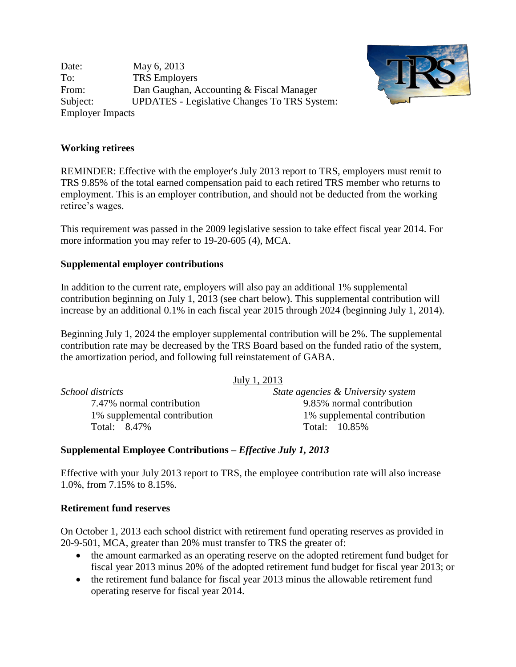Date: May 6, 2013 To: TRS Employers From: Dan Gaughan, Accounting & Fiscal Manager Subject: UPDATES - Legislative Changes To TRS System: Employer Impacts



## **Working retirees**

REMINDER: Effective with the employer's July 2013 report to TRS, employers must remit to TRS 9.85% of the total earned compensation paid to each retired TRS member who returns to employment. This is an employer contribution, and should not be deducted from the working retiree's wages.

This requirement was passed in the 2009 legislative session to take effect fiscal year 2014. For more information you may refer to 19-20-605 (4), MCA.

# **Supplemental employer contributions**

In addition to the current rate, employers will also pay an additional 1% supplemental contribution beginning on July 1, 2013 (see chart below). This supplemental contribution will increase by an additional 0.1% in each fiscal year 2015 through 2024 (beginning July 1, 2014).

Beginning July 1, 2024 the employer supplemental contribution will be 2%. The supplemental contribution rate may be decreased by the TRS Board based on the funded ratio of the system, the amortization period, and following full reinstatement of GABA.

|                              | July 1, 2013                       |
|------------------------------|------------------------------------|
| School districts             | State agencies & University system |
| 7.47% normal contribution    | 9.85% normal contribution          |
| 1% supplemental contribution | 1% supplemental contribution       |
| Total: 8.47%                 | Total: 10.85%                      |

### **Supplemental Employee Contributions –** *Effective July 1, 2013*

Effective with your July 2013 report to TRS, the employee contribution rate will also increase 1.0%, from 7.15% to 8.15%.

### **Retirement fund reserves**

On October 1, 2013 each school district with retirement fund operating reserves as provided in 20-9-501, MCA, greater than 20% must transfer to TRS the greater of:

- the amount earmarked as an operating reserve on the adopted retirement fund budget for fiscal year 2013 minus 20% of the adopted retirement fund budget for fiscal year 2013; or
- the retirement fund balance for fiscal year 2013 minus the allowable retirement fund operating reserve for fiscal year 2014.